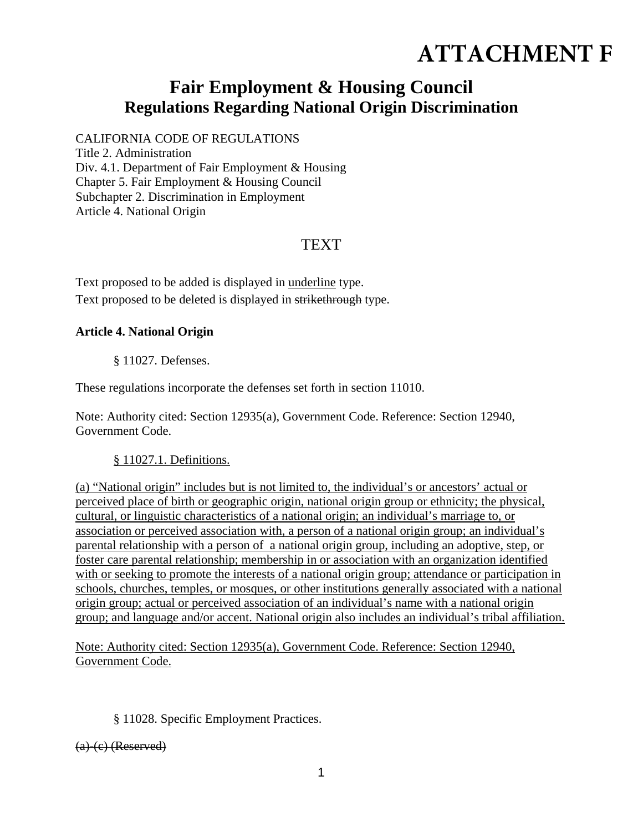# **ATTACHMENT F**

## **Fair Employment & Housing Council Regulations Regarding National Origin Discrimination**

CALIFORNIA CODE OF REGULATIONS Title 2. Administration Div. 4.1. Department of Fair Employment & Housing Chapter 5. Fair Employment & Housing Council Subchapter 2. Discrimination in Employment Article 4. National Origin

### **TEXT**

Text proposed to be added is displayed in underline type. Text proposed to be deleted is displayed in strikethrough type.

#### **Article 4. National Origin**

§ 11027. Defenses.

These regulations incorporate the defenses set forth in section 11010.

Note: Authority cited: Section 12935(a), Government Code. Reference: Section 12940, Government Code.

#### § 11027.1. Definitions.

(a) "National origin" includes but is not limited to, the individual's or ancestors' actual or perceived place of birth or geographic origin, national origin group or ethnicity; the physical, cultural, or linguistic characteristics of a national origin; an individual's marriage to, or association or perceived association with, a person of a national origin group; an individual's parental relationship with a person of a national origin group, including an adoptive, step, or foster care parental relationship; membership in or association with an organization identified with or seeking to promote the interests of a national origin group; attendance or participation in schools, churches, temples, or mosques, or other institutions generally associated with a national origin group; actual or perceived association of an individual's name with a national origin group; and language and/or accent. National origin also includes an individual's tribal affiliation.

Note: Authority cited: Section 12935(a), Government Code. Reference: Section 12940, Government Code.

#### § 11028. Specific Employment Practices.

(a)-(c) (Reserved)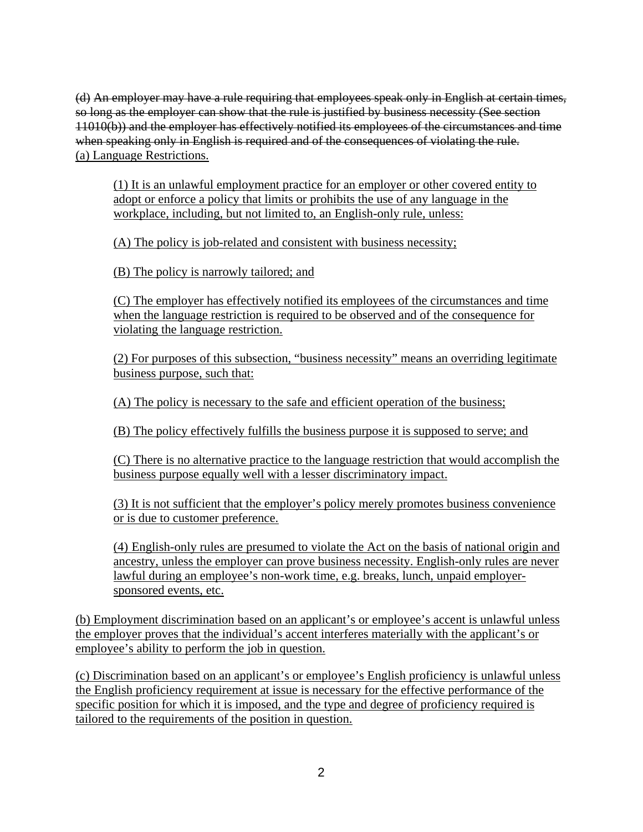(d) An employer may have a rule requiring that employees speak only in English at certain times, so long as the employer can show that the rule is justified by business necessity (See section 11010(b)) and the employer has effectively notified its employees of the circumstances and time when speaking only in English is required and of the consequences of violating the rule. (a) Language Restrictions.

(1) It is an unlawful employment practice for an employer or other covered entity to adopt or enforce a policy that limits or prohibits the use of any language in the workplace, including, but not limited to, an English-only rule, unless:

(A) The policy is job-related and consistent with business necessity;

(B) The policy is narrowly tailored; and

(C) The employer has effectively notified its employees of the circumstances and time when the language restriction is required to be observed and of the consequence for violating the language restriction.

(2) For purposes of this subsection, "business necessity" means an overriding legitimate business purpose, such that:

(A) The policy is necessary to the safe and efficient operation of the business;

(B) The policy effectively fulfills the business purpose it is supposed to serve; and

(C) There is no alternative practice to the language restriction that would accomplish the business purpose equally well with a lesser discriminatory impact.

(3) It is not sufficient that the employer's policy merely promotes business convenience or is due to customer preference.

(4) English-only rules are presumed to violate the Act on the basis of national origin and ancestry, unless the employer can prove business necessity. English-only rules are never lawful during an employee's non-work time, e.g. breaks, lunch, unpaid employersponsored events, etc.

(b) Employment discrimination based on an applicant's or employee's accent is unlawful unless the employer proves that the individual's accent interferes materially with the applicant's or employee's ability to perform the job in question.

(c) Discrimination based on an applicant's or employee's English proficiency is unlawful unless the English proficiency requirement at issue is necessary for the effective performance of the specific position for which it is imposed, and the type and degree of proficiency required is tailored to the requirements of the position in question.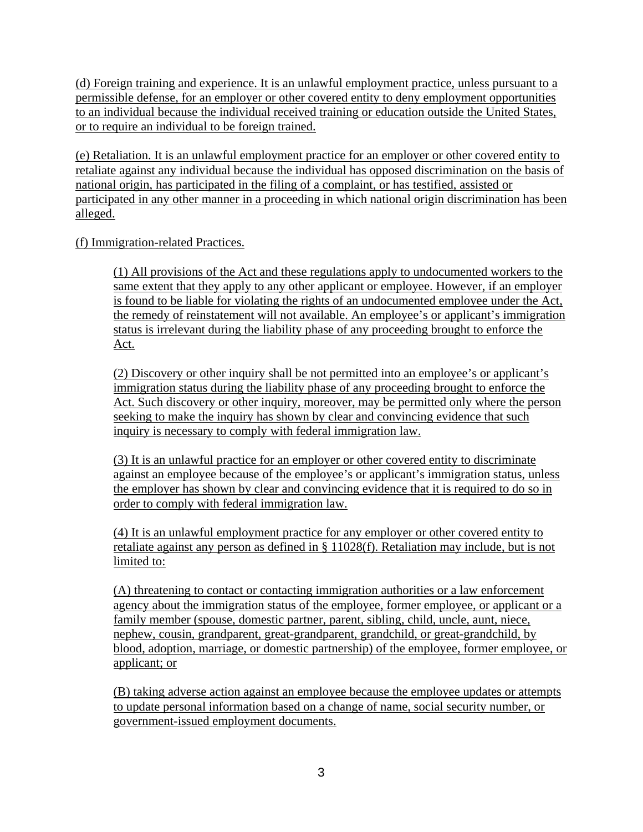(d) Foreign training and experience. It is an unlawful employment practice, unless pursuant to a permissible defense, for an employer or other covered entity to deny employment opportunities to an individual because the individual received training or education outside the United States, or to require an individual to be foreign trained.

(e) Retaliation. It is an unlawful employment practice for an employer or other covered entity to retaliate against any individual because the individual has opposed discrimination on the basis of national origin, has participated in the filing of a complaint, or has testified, assisted or participated in any other manner in a proceeding in which national origin discrimination has been alleged.

#### (f) Immigration-related Practices.

(1) All provisions of the Act and these regulations apply to undocumented workers to the same extent that they apply to any other applicant or employee. However, if an employer is found to be liable for violating the rights of an undocumented employee under the Act, the remedy of reinstatement will not available. An employee's or applicant's immigration status is irrelevant during the liability phase of any proceeding brought to enforce the Act.

(2) Discovery or other inquiry shall be not permitted into an employee's or applicant's immigration status during the liability phase of any proceeding brought to enforce the Act. Such discovery or other inquiry, moreover, may be permitted only where the person seeking to make the inquiry has shown by clear and convincing evidence that such inquiry is necessary to comply with federal immigration law.

(3) It is an unlawful practice for an employer or other covered entity to discriminate against an employee because of the employee's or applicant's immigration status, unless the employer has shown by clear and convincing evidence that it is required to do so in order to comply with federal immigration law.

(4) It is an unlawful employment practice for any employer or other covered entity to retaliate against any person as defined in § 11028(f). Retaliation may include, but is not limited to:

(A) threatening to contact or contacting immigration authorities or a law enforcement agency about the immigration status of the employee, former employee, or applicant or a family member (spouse, domestic partner, parent, sibling, child, uncle, aunt, niece, nephew, cousin, grandparent, great-grandparent, grandchild, or great-grandchild, by blood, adoption, marriage, or domestic partnership) of the employee, former employee, or applicant; or

(B) taking adverse action against an employee because the employee updates or attempts to update personal information based on a change of name, social security number, or government-issued employment documents.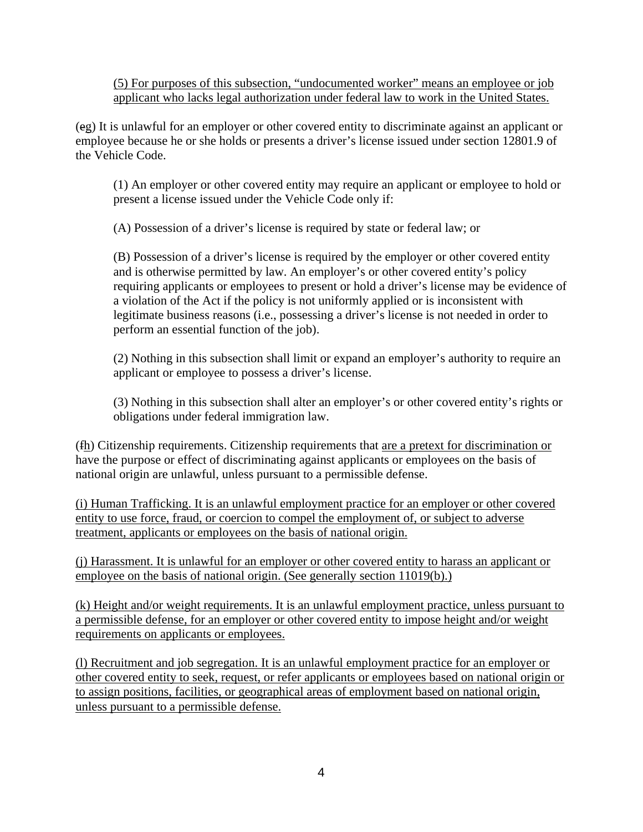(5) For purposes of this subsection, "undocumented worker" means an employee or job applicant who lacks legal authorization under federal law to work in the United States.

(eg) It is unlawful for an employer or other covered entity to discriminate against an applicant or employee because he or she holds or presents a driver's license issued under section 12801.9 of the Vehicle Code.

(1) An employer or other covered entity may require an applicant or employee to hold or present a license issued under the Vehicle Code only if:

(A) Possession of a driver's license is required by state or federal law; or

(B) Possession of a driver's license is required by the employer or other covered entity and is otherwise permitted by law. An employer's or other covered entity's policy requiring applicants or employees to present or hold a driver's license may be evidence of a violation of the Act if the policy is not uniformly applied or is inconsistent with legitimate business reasons (i.e., possessing a driver's license is not needed in order to perform an essential function of the job).

(2) Nothing in this subsection shall limit or expand an employer's authority to require an applicant or employee to possess a driver's license.

(3) Nothing in this subsection shall alter an employer's or other covered entity's rights or obligations under federal immigration law.

(fh) Citizenship requirements. Citizenship requirements that are a pretext for discrimination or have the purpose or effect of discriminating against applicants or employees on the basis of national origin are unlawful, unless pursuant to a permissible defense.

(i) Human Trafficking. It is an unlawful employment practice for an employer or other covered entity to use force, fraud, or coercion to compel the employment of, or subject to adverse treatment, applicants or employees on the basis of national origin.

(j) Harassment. It is unlawful for an employer or other covered entity to harass an applicant or employee on the basis of national origin. (See generally section 11019(b).)

(k) Height and/or weight requirements. It is an unlawful employment practice, unless pursuant to a permissible defense, for an employer or other covered entity to impose height and/or weight requirements on applicants or employees.

(l) Recruitment and job segregation. It is an unlawful employment practice for an employer or other covered entity to seek, request, or refer applicants or employees based on national origin or to assign positions, facilities, or geographical areas of employment based on national origin, unless pursuant to a permissible defense.